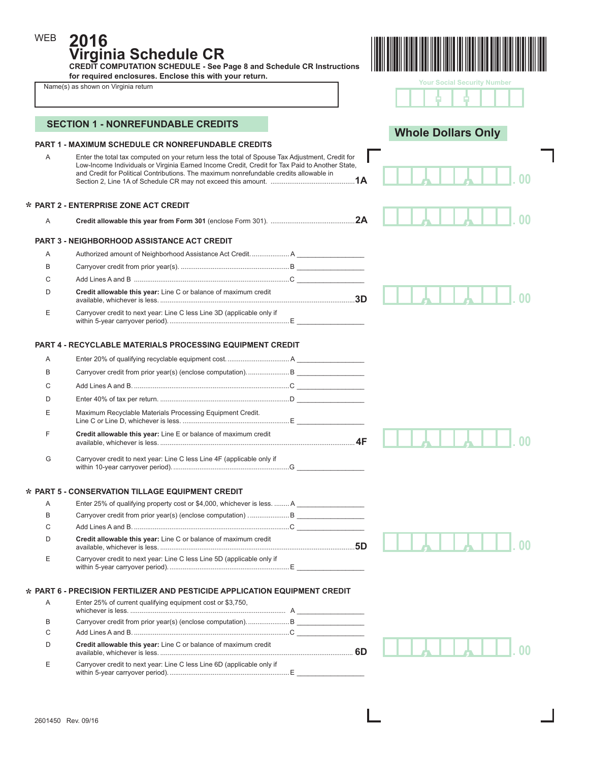**2016**

**Virginia Schedule CR CREDIT COMPUTATION SCHEDULE - See Page 8 and Schedule CR Instructions for required enclosures. Enclose this with your return.** 

| Name(s) as shown on Virginia return |  |
|-------------------------------------|--|
|-------------------------------------|--|

WEB



|  | <b>Your Social Security Number</b> |  |
|--|------------------------------------|--|
|  |                                    |  |

٦

I

|   | <b>PART 1 - MAXIMUM SCHEDULE CR NONREFUNDABLE CREDITS</b>                                                                                                                                                                                                                                   | <b>Whole Dollars Only</b> |  |
|---|---------------------------------------------------------------------------------------------------------------------------------------------------------------------------------------------------------------------------------------------------------------------------------------------|---------------------------|--|
| A | Enter the total tax computed on your return less the total of Spouse Tax Adjustment, Credit for<br>Low-Income Individuals or Virginia Earned Income Credit, Credit for Tax Paid to Another State,<br>and Credit for Political Contributions. The maximum nonrefundable credits allowable in |                           |  |
|   | * PART 2 - ENTERPRISE ZONE ACT CREDIT                                                                                                                                                                                                                                                       |                           |  |
| Α |                                                                                                                                                                                                                                                                                             | 2A                        |  |
|   | <b>PART 3 - NEIGHBORHOOD ASSISTANCE ACT CREDIT</b>                                                                                                                                                                                                                                          |                           |  |
| A |                                                                                                                                                                                                                                                                                             |                           |  |
| В |                                                                                                                                                                                                                                                                                             |                           |  |
| C |                                                                                                                                                                                                                                                                                             |                           |  |
| D | Credit allowable this year: Line C or balance of maximum credit                                                                                                                                                                                                                             |                           |  |
| Ε | Carryover credit to next year: Line C less Line 3D (applicable only if                                                                                                                                                                                                                      |                           |  |
|   | <b>PART 4 - RECYCLABLE MATERIALS PROCESSING EQUIPMENT CREDIT</b>                                                                                                                                                                                                                            |                           |  |
| A |                                                                                                                                                                                                                                                                                             |                           |  |
| В |                                                                                                                                                                                                                                                                                             |                           |  |
| C |                                                                                                                                                                                                                                                                                             |                           |  |
| D |                                                                                                                                                                                                                                                                                             |                           |  |
| Ε | Maximum Recyclable Materials Processing Equipment Credit.                                                                                                                                                                                                                                   |                           |  |
| F | Credit allowable this year: Line E or balance of maximum credit                                                                                                                                                                                                                             |                           |  |
| G | Carryover credit to next year: Line C less Line 4F (applicable only if                                                                                                                                                                                                                      |                           |  |
|   | * PART 5 - CONSERVATION TILLAGE EQUIPMENT CREDIT                                                                                                                                                                                                                                            |                           |  |
| A | Enter 25% of qualifying property cost or \$4,000, whichever is less.  A                                                                                                                                                                                                                     |                           |  |
| B |                                                                                                                                                                                                                                                                                             |                           |  |
| C |                                                                                                                                                                                                                                                                                             |                           |  |
| D | Credit allowable this year: Line C or balance of maximum credit                                                                                                                                                                                                                             |                           |  |
| Е | Carryover credit to next year: Line C less Line 5D (applicable only if                                                                                                                                                                                                                      |                           |  |
|   | * PART 6 - PRECISION FERTILIZER AND PESTICIDE APPLICATION EQUIPMENT CREDIT                                                                                                                                                                                                                  |                           |  |
| Α | Enter 25% of current qualifying equipment cost or \$3,750,                                                                                                                                                                                                                                  |                           |  |
| B | Carryover credit from prior year(s) (enclose computation).  B                                                                                                                                                                                                                               |                           |  |
| C |                                                                                                                                                                                                                                                                                             |                           |  |
| D | Credit allowable this year: Line C or balance of maximum credit                                                                                                                                                                                                                             |                           |  |
| Е | Carryover credit to next year: Line C less Line 6D (applicable only if                                                                                                                                                                                                                      |                           |  |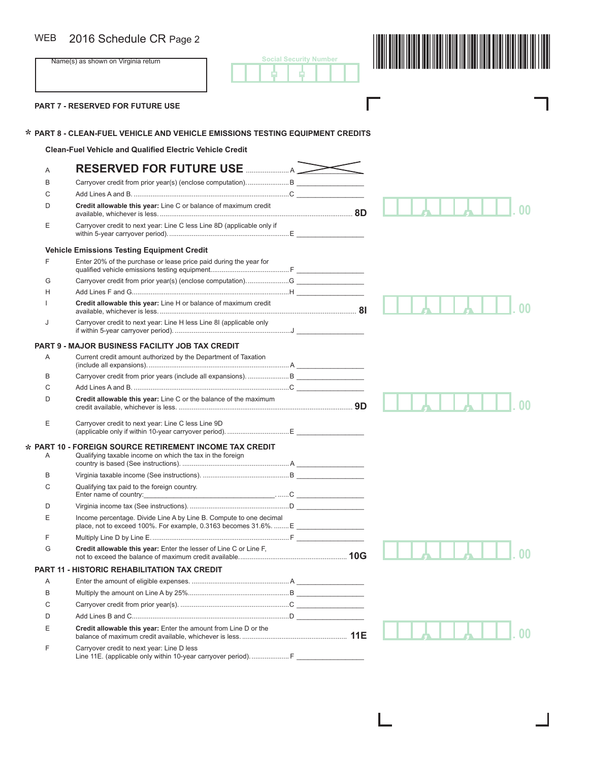## WEB

**Social Security Number** - -

Г



**PART 7 - RESERVED FOR FUTURE USE** 

**\***

# **PART 8 - CLEAN-FUEL VEHICLE AND VEHICLE EMISSIONS TESTING EQUIPMENT CREDITS \***

**Clean-Fuel Vehicle and Qualified Electric Vehicle Credit**

| A                | RESERVED FOR FUTURE USE MANUSCHLING                                                                           |  |
|------------------|---------------------------------------------------------------------------------------------------------------|--|
| B                | Carryover credit from prior year(s) (enclose computation) B                                                   |  |
| C                |                                                                                                               |  |
| D                | Credit allowable this vear: Line C or balance of maximum credit                                               |  |
| E                | Carryover credit to next year: Line C less Line 8D (applicable only if                                        |  |
|                  | <b>Vehicle Emissions Testing Equipment Credit</b>                                                             |  |
| F                | Enter 20% of the purchase or lease price paid during the year for                                             |  |
| G                | Carryover credit from prior year(s) (enclose computation)G                                                    |  |
| H                |                                                                                                               |  |
|                  | Credit allowable this year: Line H or balance of maximum credit                                               |  |
| J                | Carryover credit to next year: Line H less Line 8I (applicable only                                           |  |
|                  | <b>PART 9 - MAJOR BUSINESS FACILITY JOB TAX CREDIT</b>                                                        |  |
| Α                | Current credit amount authorized by the Department of Taxation                                                |  |
| B                |                                                                                                               |  |
| C                |                                                                                                               |  |
| D                | Credit allowable this year: Line C or the balance of the maximum                                              |  |
| E                | Carryover credit to next year: Line C less Line 9D                                                            |  |
|                  | <b>PART 10 - FOREIGN SOURCE RETIREMENT INCOME TAX CREDIT</b>                                                  |  |
| Α                | Qualifying taxable income on which the tax in the foreign                                                     |  |
| B                |                                                                                                               |  |
| C                | Qualifying tax paid to the foreign country.                                                                   |  |
| D                |                                                                                                               |  |
| E                | Income percentage. Divide Line A by Line B. Compute to one decimal                                            |  |
| F                |                                                                                                               |  |
| G                | Credit allowable this year: Enter the lesser of Line C or Line F,                                             |  |
| <b>PART 11 -</b> | <b>HISTORIC REHABILITATION TAX CREDIT</b>                                                                     |  |
| A                |                                                                                                               |  |
| B                |                                                                                                               |  |
| C                |                                                                                                               |  |
| D                |                                                                                                               |  |
| E                | Credit allowable this year: Enter the amount from Line D or the                                               |  |
| F                | Carryover credit to next year: Line D less<br>Line 11E. (applicable only within 10-year carryover period).  F |  |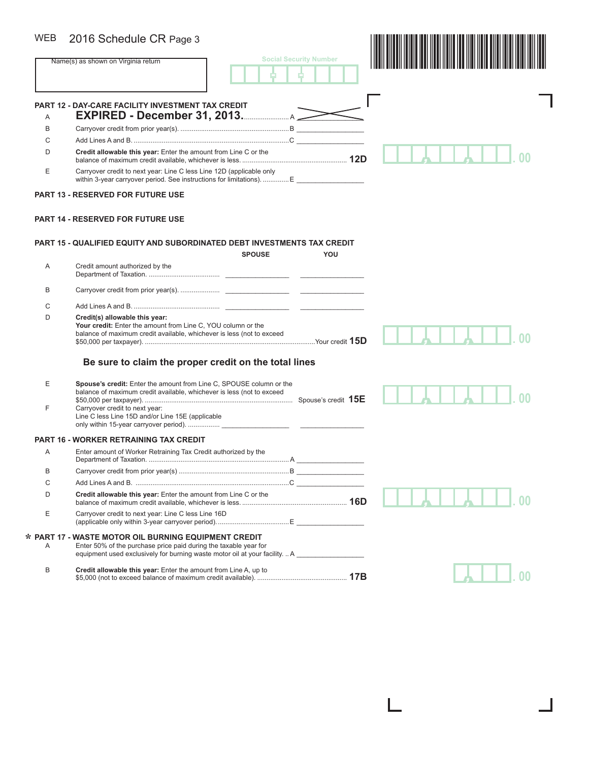# WEB

| <b>WEB</b> | 2016 Schedule CR Page 3                                                                                                                                                                                                            |                               |
|------------|------------------------------------------------------------------------------------------------------------------------------------------------------------------------------------------------------------------------------------|-------------------------------|
|            | Name(s) as shown on Virginia return                                                                                                                                                                                                | <b>Social Security Number</b> |
|            | <b>PART 12 - DAY-CARE FACILITY INVESTMENT TAX CREDIT</b>                                                                                                                                                                           |                               |
| A          | <b>EXPIRED - December 31, 2013.</b> A                                                                                                                                                                                              |                               |
| В          |                                                                                                                                                                                                                                    |                               |
| С          |                                                                                                                                                                                                                                    |                               |
| D          | Credit allowable this year: Enter the amount from Line C or the                                                                                                                                                                    |                               |
| Е          | Carryover credit to next year: Line C less Line 12D (applicable only<br>within 3-year carryover period. See instructions for limitations).  E                                                                                      |                               |
|            | <b>PART 13 - RESERVED FOR FUTURE USE</b>                                                                                                                                                                                           |                               |
|            | <b>PART 14 - RESERVED FOR FUTURE USE</b>                                                                                                                                                                                           |                               |
|            | <b>PART 15 - QUALIFIED EQUITY AND SUBORDINATED DEBT INVESTMENTS TAX CREDIT</b>                                                                                                                                                     |                               |
|            | <b>SPOUSE</b>                                                                                                                                                                                                                      | YOU                           |
| Α          | Credit amount authorized by the                                                                                                                                                                                                    |                               |
| В          |                                                                                                                                                                                                                                    |                               |
| C          |                                                                                                                                                                                                                                    |                               |
| D          | Credit(s) allowable this year:<br>Your credit: Enter the amount from Line C, YOU column or the<br>balance of maximum credit available, whichever is less (not to exceed                                                            |                               |
|            | Be sure to claim the proper credit on the total lines                                                                                                                                                                              |                               |
| Е<br>F     | Spouse's credit: Enter the amount from Line C, SPOUSE column or the<br>balance of maximum credit available, whichever is less (not to exceed<br>Carryover credit to next year:<br>Line C less Line 15D and/or Line 15E (applicable |                               |
|            | <b>PART 16 - WORKER RETRAINING TAX CREDIT</b>                                                                                                                                                                                      |                               |
| Α          | Enter amount of Worker Retraining Tax Credit authorized by the                                                                                                                                                                     |                               |
| B          |                                                                                                                                                                                                                                    |                               |
| С          |                                                                                                                                                                                                                                    |                               |
| D          | Credit allowable this year: Enter the amount from Line C or the                                                                                                                                                                    |                               |
|            | Carryover credit to next year: Line C less Line 16D                                                                                                                                                                                |                               |
| Е          |                                                                                                                                                                                                                                    |                               |
| Α          | * PART 17 - WASTE MOTOR OIL BURNING EQUIPMENT CREDIT<br>Enter 50% of the purchase price paid during the taxable year for<br>equipment used exclusively for burning waste motor oil at your facility.  A _____________________      |                               |
| B          | Credit allowable this year: Enter the amount from Line A, up to                                                                                                                                                                    |                               |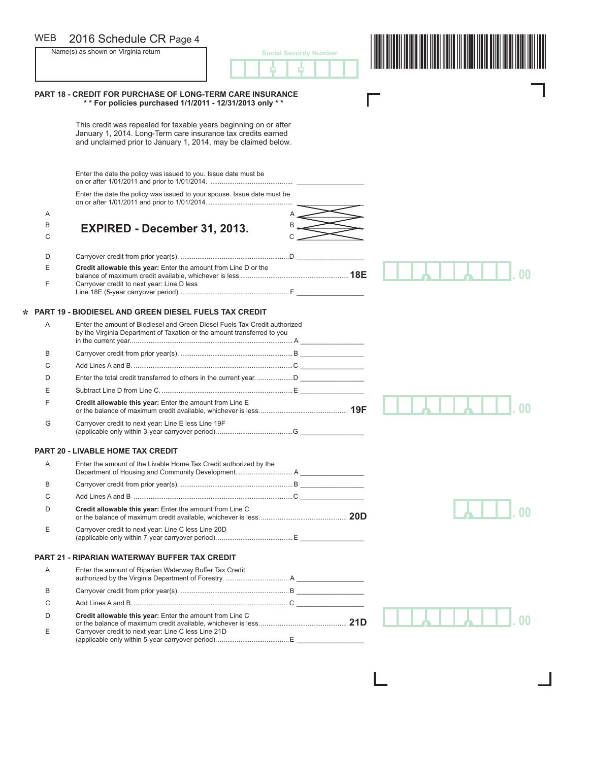### **PART 18 - CREDIT FOR PURCHASE OF LONG-TERM CARE INSURANCE \* \* For policies purchased 1/1/2011 - 12/31/2013 only \* \***  This credit was repealed for taxable years beginning on or after January 1, 2014. Long-Term care insurance tax credits earned and unclaimed prior to January 1, 2014, may be claimed below. Enter the date the policy was issued to you. Issue date must be on or after 1/01/2011 and prior to 1/01/2014. ............................................ \_\_\_\_\_\_\_\_\_\_\_\_\_\_\_\_\_\_ Enter the date the policy was issued to your spouse. Issue date must be on or after 1/01/2011 and prior to 1/01/2014. ............................................. \_\_\_\_\_\_\_\_\_\_\_\_\_\_\_\_\_\_  $A$  and  $A$  and  $A$  and  $A$  and  $A$  and  $A$  and  $A$  and  $A$  and  $A$  and  $A$  and  $A$  and  $A$  and  $A$  and  $A$  and  $A$  and  $A$  and  $A$  and  $A$  and  $A$  and  $A$  and  $A$  and  $A$  and  $A$  and  $A$  and  $A$  and  $A$  and  $A$  and  $A$  a  $\stackrel{B}{\longrightarrow}$  **EXPIRED - December 31, 2013.** C C \_\_\_\_\_\_\_\_\_\_\_\_\_\_\_\_\_\_ D Carryover credit from prior year(s). ..........................................................D \_\_\_\_\_\_\_\_\_\_\_\_\_\_\_\_\_\_ E **Credit allowable this year:** Enter the amount from Line D or the balance of maximum credit available, whichever is less ..........................................................**18E** Carryover credit to next year: Line D less Line 18E (5-year carryover period) .......................................................... F \_\_\_\_\_\_\_\_\_\_\_\_\_\_\_\_\_\_ **PART 19 - BIODIESEL AND GREEN DIESEL FUELS TAX CREDIT** A Enter the amount of Biodiesel and Green Diesel Fuels Tax Credit authorized by the Virginia Department of Taxation or the amount transferred to you in the current year....................................................................................... A \_\_\_\_\_\_\_\_\_\_\_\_\_\_\_\_\_ B Carryover credit from prior year(s). ............................................................B \_\_\_\_\_\_\_\_\_\_\_\_\_\_\_\_\_ C Add Lines A and B. .....................................................................................C \_\_\_\_\_\_\_\_\_\_\_\_\_\_\_\_\_ D Enter the total credit transferred to others in the current year. ...................D \_\_\_\_\_\_\_\_\_\_\_\_\_\_\_\_\_ E Subtract Line D from Line C. ......................................................................E \_\_\_\_\_\_\_\_\_\_\_\_\_\_\_\_\_ F **Credit allowable this year:** Enter the amount from Line E or the balance of maximum credit available, whichever is less............................................... **19F** G Carryover credit to next year: Line E less Line 19F (applicable only within 3-year carryover period).........................................G \_\_\_\_\_\_\_\_\_\_\_\_\_\_\_\_\_ **PART 20 - LIVABLE HOME TAX CREDIT** A Enter the amount of the Livable Home Tax Credit authorized by the Department of Housing and Community Development. ............................. A \_\_\_\_\_\_\_\_\_\_\_\_\_\_\_\_\_ B Carryover credit from prior year(s). ............................................................B \_\_\_\_\_\_\_\_\_\_\_\_\_\_\_\_\_ C Add Lines A and B .....................................................................................C \_\_\_\_\_\_\_\_\_\_\_\_\_\_\_\_\_ D **Credit allowable this year:** Enter the amount from Line C or the balance of maximum credit available, whichever is less............................................... **20D** E Carryover credit to next year: Line C less Line 20D (applicable only within 7-year carryover period).........................................E \_\_\_\_\_\_\_\_\_\_\_\_\_\_\_\_\_ **PART 21 - RIPARIAN WATERWAY BUFFER TAX CREDIT** A Enter the amount of Riparian Waterway Buffer Tax Credit authorized by the Virginia Department of Forestry. .................................. A \_\_\_\_\_\_\_\_\_\_\_\_\_\_\_\_\_\_ B Carryover credit from prior year(s). ..........................................................B \_\_\_\_\_\_\_\_\_\_\_\_\_\_\_\_\_\_ C Add Lines A and B. ...................................................................................C \_\_\_\_\_\_\_\_\_\_\_\_\_\_\_\_\_\_ D **Credit allowable this year:** Enter the amount from Line C or the balance of maximum credit available, whichever is less............................................... **21D** *, ,* **. 00 \*** *, ,* **. 00** *,* **. 00** *, ,* **. 00** 2016 Schedule CR Page 4<br>
Social Security Number<br>
Social Security Number<br>
A Later Later Later Later Later Later Later Later Later Later Later Later Later Later Later Later Later Later<br>
A Later Later Later Later Later Later Name(s) as shown on Virginia return **interest and Social Security Number** in Social Security Number - - WEB

E Carryover credit to next year: Line C less Line 21D

(applicable only within 5-year carryover period).......................................E \_\_\_\_\_\_\_\_\_\_\_\_\_\_\_\_\_\_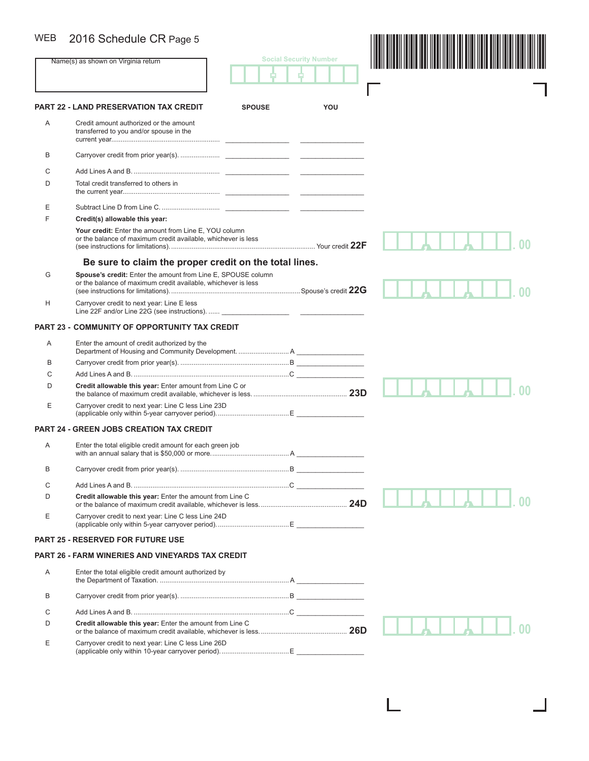# WEB 2016 Schedule CR Page 5

| <b>WEB</b> | 2016 Schedule CR Page 5                                                                                                       |               |                               |  |
|------------|-------------------------------------------------------------------------------------------------------------------------------|---------------|-------------------------------|--|
|            | Name(s) as shown on Virginia return                                                                                           |               | <b>Social Security Number</b> |  |
|            |                                                                                                                               |               |                               |  |
|            | <b>PART 22 - LAND PRESERVATION TAX CREDIT</b>                                                                                 | <b>SPOUSE</b> | YOU                           |  |
| A          | Credit amount authorized or the amount<br>transferred to you and/or spouse in the                                             |               |                               |  |
| B          |                                                                                                                               |               |                               |  |
| С          |                                                                                                                               |               |                               |  |
| D          | Total credit transferred to others in                                                                                         |               |                               |  |
| Ε          |                                                                                                                               |               |                               |  |
| E          | Credit(s) allowable this year:                                                                                                |               |                               |  |
|            | Your credit: Enter the amount from Line E, YOU column<br>or the balance of maximum credit available, whichever is less        |               |                               |  |
|            | Be sure to claim the proper credit on the total lines.                                                                        |               |                               |  |
| G          | Spouse's credit: Enter the amount from Line E, SPOUSE column<br>or the balance of maximum credit available, whichever is less |               |                               |  |
| H          | Carryover credit to next year: Line E less                                                                                    |               |                               |  |
|            | <b>PART 23 - COMMUNITY OF OPPORTUNITY TAX CREDIT</b>                                                                          |               |                               |  |
| Α          | Enter the amount of credit authorized by the                                                                                  |               |                               |  |
| B          |                                                                                                                               |               |                               |  |
| С          |                                                                                                                               |               |                               |  |
| D          | Credit allowable this year: Enter amount from Line C or                                                                       |               |                               |  |
| Ε          | Carryover credit to next year: Line C less Line 23D                                                                           |               |                               |  |
|            | <b>PART 24 - GREEN JOBS CREATION TAX CREDIT</b>                                                                               |               |                               |  |
| A          | Enter the total eligible credit amount for each green job                                                                     |               |                               |  |
| B          |                                                                                                                               |               |                               |  |
| С          |                                                                                                                               |               |                               |  |
| D          | Credit allowable this year: Enter the amount from Line C                                                                      |               |                               |  |
| Е          | Carryover credit to next year: Line C less Line 24D                                                                           |               |                               |  |
|            | <b>PART 25 - RESERVED FOR FUTURE USE</b>                                                                                      |               |                               |  |
|            | <b>PART 26 - FARM WINERIES AND VINEYARDS TAX CREDIT</b>                                                                       |               |                               |  |
| A          | Enter the total eligible credit amount authorized by                                                                          |               |                               |  |
| B          |                                                                                                                               |               |                               |  |
| С          |                                                                                                                               |               |                               |  |
| D          | Credit allowable this year: Enter the amount from Line C                                                                      |               |                               |  |
| Ε          | Carryover credit to next year: Line C less Line 26D                                                                           |               |                               |  |

ı

٦

 $\blacksquare$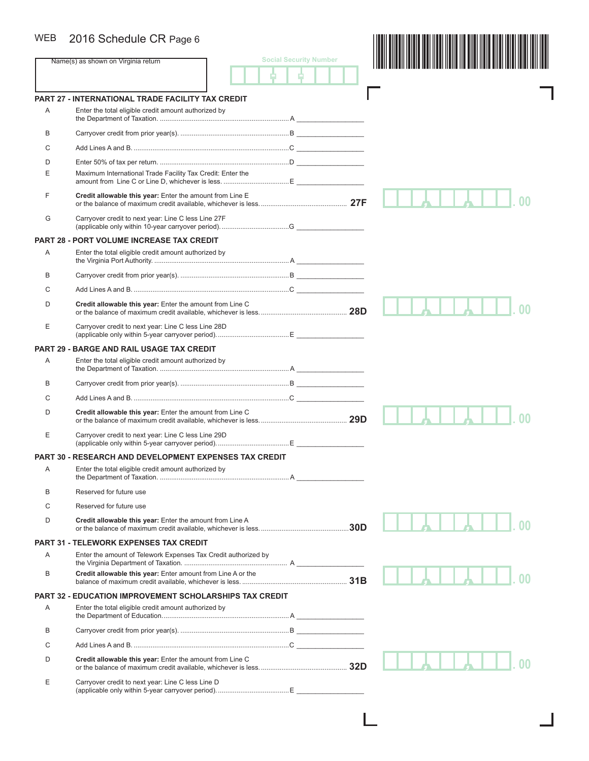# WEB 2016 Schedule CR Page 6

| WEB            | 2016 Schedule CR Page 6                                        |                               |  |  |
|----------------|----------------------------------------------------------------|-------------------------------|--|--|
|                | Name(s) as shown on Virginia return                            | <b>Social Security Number</b> |  |  |
|                |                                                                |                               |  |  |
|                | <b>PART 27 - INTERNATIONAL TRADE FACILITY TAX CREDIT</b>       |                               |  |  |
| Α              | Enter the total eligible credit amount authorized by           |                               |  |  |
| B              |                                                                |                               |  |  |
| С              |                                                                |                               |  |  |
| D              |                                                                |                               |  |  |
| Ε              | Maximum International Trade Facility Tax Credit: Enter the     |                               |  |  |
| F              | Credit allowable this year: Enter the amount from Line E       |                               |  |  |
| G              | Carryover credit to next year: Line C less Line 27F            |                               |  |  |
|                | <b>PART 28 - PORT VOLUME INCREASE TAX CREDIT</b>               |                               |  |  |
| Α              | Enter the total eligible credit amount authorized by           |                               |  |  |
| B              |                                                                |                               |  |  |
| C              |                                                                |                               |  |  |
| D              | Credit allowable this year: Enter the amount from Line C       |                               |  |  |
| Ε              | Carryover credit to next year: Line C less Line 28D            |                               |  |  |
| <b>PART 29</b> | - BARGE AND RAIL USAGE TAX CREDIT                              |                               |  |  |
| Α              | Enter the total eligible credit amount authorized by           |                               |  |  |
| B              |                                                                |                               |  |  |
| C              |                                                                |                               |  |  |
| D              | Credit allowable this year: Enter the amount from Line C       |                               |  |  |
| Ε              | Carryover credit to next year: Line C less Line 29D            |                               |  |  |
|                | <b>PART 30 - RESEARCH AND DEVELOPMENT EXPENSES TAX CREDIT</b>  |                               |  |  |
| Α              | Enter the total eligible credit amount authorized by           |                               |  |  |
| B              | Reserved for future use                                        |                               |  |  |
| C              | Reserved for future use                                        |                               |  |  |
| D              | Credit allowable this year: Enter the amount from Line A       |                               |  |  |
|                | <b>PART 31 - TELEWORK EXPENSES TAX CREDIT</b>                  |                               |  |  |
| A              | Enter the amount of Telework Expenses Tax Credit authorized by |                               |  |  |
| B              | Credit allowable this year: Enter amount from Line A or the    |                               |  |  |
|                | <b>PART 32 - EDUCATION IMPROVEMENT SCHOLARSHIPS TAX CREDIT</b> |                               |  |  |
| Α              | Enter the total eligible credit amount authorized by           |                               |  |  |
| B              |                                                                |                               |  |  |
| C              |                                                                |                               |  |  |
| D              | Credit allowable this year: Enter the amount from Line C       |                               |  |  |
| Ε              | Carryover credit to next year: Line C less Line D              |                               |  |  |
|                |                                                                |                               |  |  |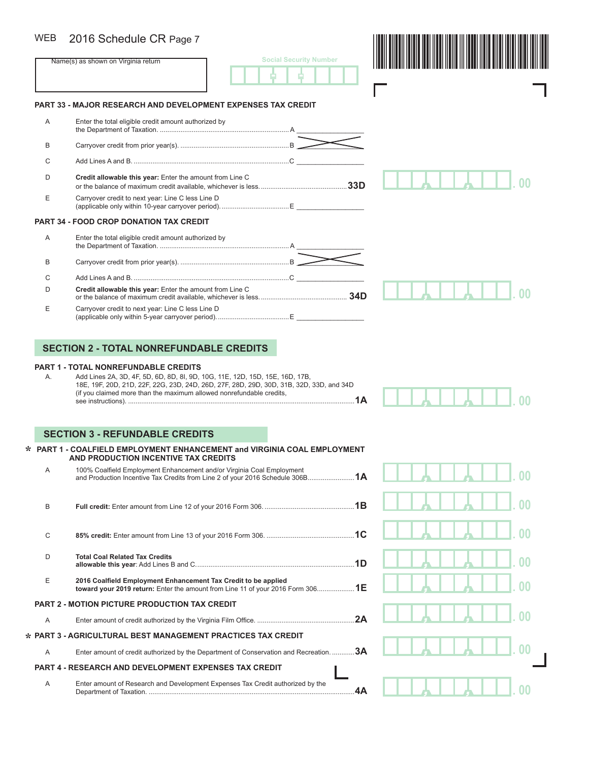#### 2016 Schedule CR Page 7 **WEB**

| <b>WEB</b> | 2016 Schedule CR Page 7                                              |  |
|------------|----------------------------------------------------------------------|--|
|            | <b>Social Security Number</b><br>Name(s) as shown on Virginia return |  |
|            | <b>PART 33 - MAJOR RESEARCH AND DEVELOPMENT EXPENSES TAX CREDIT</b>  |  |
| A          | Enter the total eligible credit amount authorized by                 |  |
| B          |                                                                      |  |
| C          |                                                                      |  |
| D          | Credit allowable this year: Enter the amount from Line C             |  |
| E          | Carryover credit to next year: Line C less Line D                    |  |
|            | <b>PART 34 - FOOD CROP DONATION TAX CREDIT</b>                       |  |
| A          | Enter the total eligible credit amount authorized by                 |  |
| B          |                                                                      |  |
| C          |                                                                      |  |
| D          | Credit allowable this year: Enter the amount from Line C             |  |
| Е          | Carryover credit to next year: Line C less Line D                    |  |

## **SECTION 2 - TOTAL NONREFUNDABLE CREDITS**

#### **PART 1 - TOTAL NONREFUNDABLE CREDITS**

A. Add Lines 2A, 3D, 4F, 5D, 6D, 8D, 8I, 9D, 10G, 11E, 12D, 15D, 15E, 16D, 17B, 18E, 19F, 20D, 21D, 22F, 22G, 23D, 24D, 26D, 27F, 28D, 29D, 30D, 31B, 32D, 33D, and 34D (if you claimed more than the maximum allowed nonrefundable credits, see instructions). .........................................................................................................................**1A**

(applicable only within 5-year carryover period).......................................E \_\_\_\_\_\_\_\_\_\_\_\_\_\_\_\_\_\_



## **SECTION 3 - REFUNDABLE CREDITS**

#### **PART 1 - COALFIELD EMPLOYMENT ENHANCEMENT and VIRGINIA COAL EMPLOYMENT \* AND PRODUCTION INCENTIVE TAX CREDITS**

| A | 100% Coalfield Employment Enhancement and/or Virginia Coal Employment                                                                            |  |
|---|--------------------------------------------------------------------------------------------------------------------------------------------------|--|
| B |                                                                                                                                                  |  |
| C |                                                                                                                                                  |  |
| D | <b>Total Coal Related Tax Credits</b><br>.1D                                                                                                     |  |
| E | 2016 Coalfield Employment Enhancement Tax Credit to be applied<br>toward your 2019 return: Enter the amount from Line 11 of your 2016 Form 3061E |  |
|   | <b>PART 2 - MOTION PICTURE PRODUCTION TAX CREDIT</b>                                                                                             |  |
| A |                                                                                                                                                  |  |
|   | * PART 3 - AGRICULTURAL BEST MANAGEMENT PRACTICES TAX CREDIT                                                                                     |  |
| A | Enter amount of credit authorized by the Department of Conservation and Recreation. 3A                                                           |  |
|   | <b>PART 4 - RESEARCH AND DEVELOPMENT EXPENSES TAX CREDIT</b>                                                                                     |  |
| A | Enter amount of Research and Development Expenses Tax Credit authorized by the                                                                   |  |

| $\overline{A}$ $\overline{A}$ $\overline{A}$ $\overline{A}$ $\overline{A}$ $\overline{A}$ $\overline{A}$ $\overline{A}$ $\overline{A}$ $\overline{A}$ $\overline{A}$ $\overline{A}$ $\overline{A}$ $\overline{A}$ $\overline{A}$ $\overline{A}$ $\overline{A}$ $\overline{A}$ $\overline{A}$ $\overline{A}$ $\overline{A}$ $\overline{A}$ $\overline{A}$ $\overline{A}$ $\overline{$ |
|--------------------------------------------------------------------------------------------------------------------------------------------------------------------------------------------------------------------------------------------------------------------------------------------------------------------------------------------------------------------------------------|
| .00                                                                                                                                                                                                                                                                                                                                                                                  |
| $\begin{array}{ c c c c c }\hline \textbf{A} & \textbf{I} & \textbf{I} & \textbf{I} & \textbf{I} & \textbf{I} & \textbf{I} \ \hline \end{array}$                                                                                                                                                                                                                                     |
|                                                                                                                                                                                                                                                                                                                                                                                      |
| $\mathbf{A}$ $\mathbf{A}$ $\mathbf{A}$ $\mathbf{B}$ $\mathbf{0}$<br>H                                                                                                                                                                                                                                                                                                                |
| $\Box$                                                                                                                                                                                                                                                                                                                                                                               |
| 1 A 1 1 1                                                                                                                                                                                                                                                                                                                                                                            |

 $\overline{\phantom{a}}$